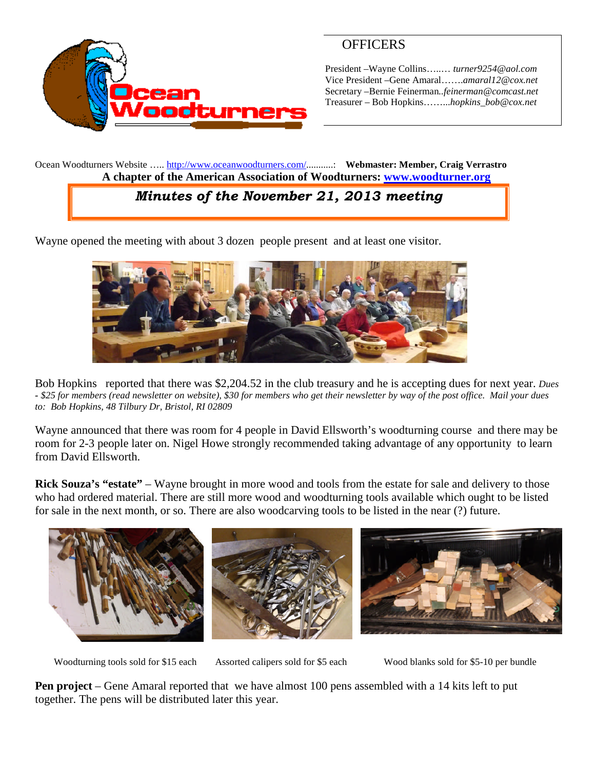

# **OFFICERS**

President –Wayne Collins…..… *turner9254@aol.com* Vice President –Gene Amaral…….*amaral12@cox.net* Secretary –Bernie Feinerman*..feinerman@comcast.net* Treasurer – Bob Hopkins……...*hopkins\_bob@cox.net*

Ocean Woodturners Website ….. <http://www.oceanwoodturners.com/>...........: **Webmaster: Member, Craig Verrastro A chapter of the American Association of Woodturners: [www.woodturner.org](http://www.woodturner.org/)**

# *Minutes of the November 21, 2013 meeting*

Wayne opened the meeting with about 3 dozen people present and at least one visitor.



Bob Hopkins reported that there was \$2,204.52 in the club treasury and he is accepting dues for next year. *Dues - \$25 for members (read newsletter on website), \$30 for members who get their newsletter by way of the post office. Mail your dues to: Bob Hopkins, 48 Tilbury Dr, Bristol, RI 02809*

Wayne announced that there was room for 4 people in David Ellsworth's woodturning course and there may be room for 2-3 people later on. Nigel Howe strongly recommended taking advantage of any opportunity to learn from David Ellsworth.

**Rick Souza's "estate"** – Wayne brought in more wood and tools from the estate for sale and delivery to those who had ordered material. There are still more wood and woodturning tools available which ought to be listed for sale in the next month, or so. There are also woodcarving tools to be listed in the near (?) future.



Woodturning tools sold for \$15 each Assorted calipers sold for \$5 each Wood blanks sold for \$5-10 per bundle

**Pen project** – Gene Amaral reported that we have almost 100 pens assembled with a 14 kits left to put together. The pens will be distributed later this year.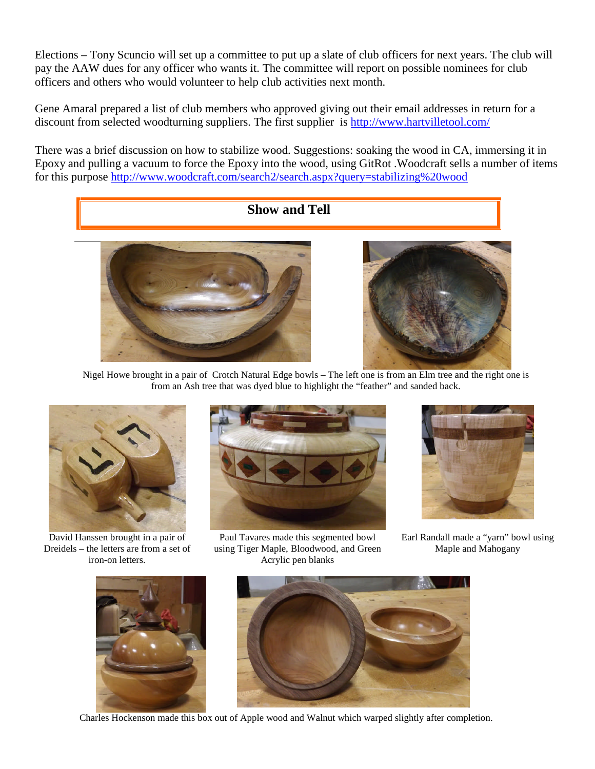Elections – Tony Scuncio will set up a committee to put up a slate of club officers for next years. The club will pay the AAW dues for any officer who wants it. The committee will report on possible nominees for club officers and others who would volunteer to help club activities next month.

Gene Amaral prepared a list of club members who approved giving out their email addresses in return for a discount from selected woodturning suppliers. The first supplier is <http://www.hartvilletool.com/>

There was a brief discussion on how to stabilize wood. Suggestions: soaking the wood in CA, immersing it in Epoxy and pulling a vacuum to force the Epoxy into the wood, using GitRot .Woodcraft sells a number of items for this purpose <http://www.woodcraft.com/search2/search.aspx?query=stabilizing%20wood>



Nigel Howe brought in a pair of Crotch Natural Edge bowls – The left one is from an Elm tree and the right one is from an Ash tree that was dyed blue to highlight the "feather" and sanded back.



David Hanssen brought in a pair of Dreidels – the letters are from a set of iron-on letters.



Paul Tavares made this segmented bowl using Tiger Maple, Bloodwood, and Green Acrylic pen blanks



Earl Randall made a "yarn" bowl using Maple and Mahogany





Charles Hockenson made this box out of Apple wood and Walnut which warped slightly after completion.